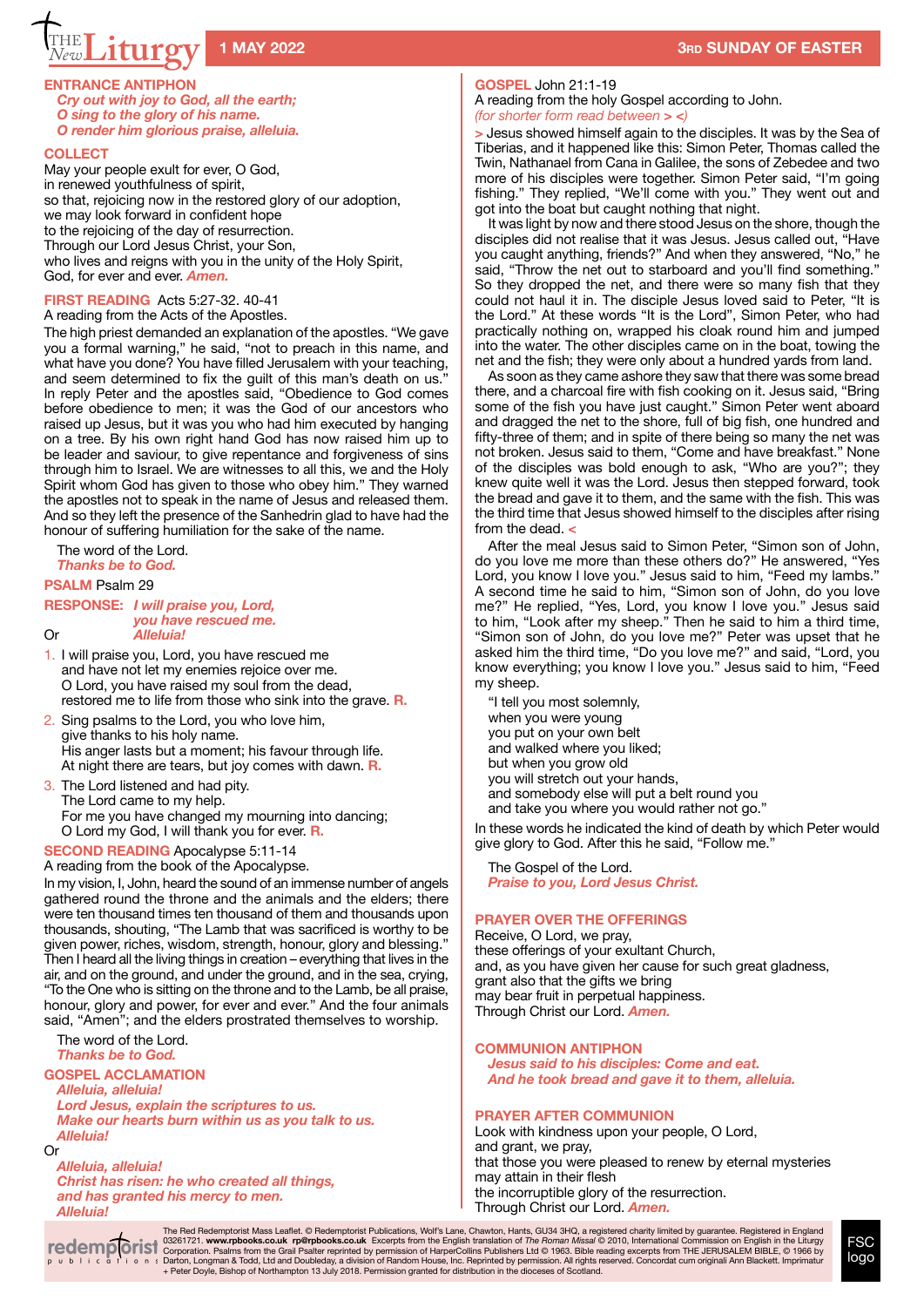# $\frac{1}{New}$  **Liturgy** 1 MAY 2022 3*RD* **3RD** SUNDAY OF EASTER

#### **ENTRANCE ANTIPHON**

*Cry out with joy to God, all the earth; O sing to the glory of his name. O render him glorious praise, alleluia.* 

#### **COLLECT**

May your people exult for ever, O God, in renewed youthfulness of spirit, so that, rejoicing now in the restored glory of our adoption, we may look forward in confident hope to the rejoicing of the day of resurrection. Through our Lord Jesus Christ, your Son, who lives and reigns with you in the unity of the Holy Spirit, God, for ever and ever. *Amen.*

#### **FIRST READING** Acts 5:27-32. 40-41

A reading from the Acts of the Apostles.

The high priest demanded an explanation of the apostles. "We gave you a formal warning," he said, "not to preach in this name, and what have you done? You have filled Jerusalem with your teaching, and seem determined to fix the guilt of this man's death on us. In reply Peter and the apostles said, "Obedience to God comes before obedience to men; it was the God of our ancestors who raised up Jesus, but it was you who had him executed by hanging on a tree. By his own right hand God has now raised him up to be leader and saviour, to give repentance and forgiveness of sins through him to Israel. We are witnesses to all this, we and the Holy Spirit whom God has given to those who obey him." They warned the apostles not to speak in the name of Jesus and released them. And so they left the presence of the Sanhedrin glad to have had the honour of suffering humiliation for the sake of the name.

The word of the Lord. *Thanks be to God.*

**PSALM** Psalm 29

#### **RESPONSE:** *I will praise you, Lord, you have rescued me.* Or *Alleluia!*

- 1. I will praise you, Lord, you have rescued me and have not let my enemies rejoice over me. O Lord, you have raised my soul from the dead, restored me to life from those who sink into the grave. **R.**
- 2. Sing psalms to the Lord, you who love him, give thanks to his holy name. His anger lasts but a moment; his favour through life. At night there are tears, but joy comes with dawn. **R.**
- 3. The Lord listened and had pity. The Lord came to my help. For me you have changed my mourning into dancing; O Lord my God, I will thank you for ever. **R.**

### **SECOND READING** Apocalypse 5:11-14

A reading from the book of the Apocalypse.

In my vision, I, John, heard the sound of an immense number of angels gathered round the throne and the animals and the elders; there were ten thousand times ten thousand of them and thousands upon thousands, shouting, "The Lamb that was sacrificed is worthy to be given power, riches, wisdom, strength, honour, glory and blessing." Then I heard all the living things in creation – everything that lives in the air, and on the ground, and under the ground, and in the sea, crying, "To the One who is sitting on the throne and to the Lamb, be all praise, honour, glory and power, for ever and ever." And the four animals said, "Amen"; and the elders prostrated themselves to worship.

The word of the Lord. *Thanks be to God.*

#### **GOSPEL ACCLAMATION**

*Alleluia, alleluia!* 

*Lord Jesus, explain the scriptures to us. Make our hearts burn within us as you talk to us. Alleluia!*  Or

*Alleluia, alleluia! Christ has risen: he who created all things, and has granted his mercy to men. Alleluia!*

#### **GOSPEL** John 21:1-19 A reading from the holy Gospel according to John. *(for shorter form read between > <)*

**>** Jesus showed himself again to the disciples. It was by the Sea of Tiberias, and it happened like this: Simon Peter, Thomas called the Twin, Nathanael from Cana in Galilee, the sons of Zebedee and two more of his disciples were together. Simon Peter said, "I'm going fishing." They replied, "We'll come with you." They went out and got into the boat but caught nothing that night.

It was light by now and there stood Jesus on the shore, though the disciples did not realise that it was Jesus. Jesus called out, "Have you caught anything, friends?" And when they answered, "No," he said, "Throw the net out to starboard and you'll find something." So they dropped the net, and there were so many fish that they could not haul it in. The disciple Jesus loved said to Peter, "It is the Lord." At these words "It is the Lord", Simon Peter, who had practically nothing on, wrapped his cloak round him and jumped into the water. The other disciples came on in the boat, towing the net and the fish; they were only about a hundred yards from land.

As soon as they came ashore they saw that there was some bread there, and a charcoal fire with fish cooking on it. Jesus said, "Bring some of the fish you have just caught." Simon Peter went aboard and dragged the net to the shore, full of big fish, one hundred and fifty-three of them; and in spite of there being so many the net was not broken. Jesus said to them, "Come and have breakfast." None of the disciples was bold enough to ask, "Who are you?"; they knew quite well it was the Lord. Jesus then stepped forward, took the bread and gave it to them, and the same with the fish. This was the third time that Jesus showed himself to the disciples after rising from the dead. **<**

After the meal Jesus said to Simon Peter, "Simon son of John, do you love me more than these others do?" He answered, "Yes Lord, you know I love you." Jesus said to him, "Feed my lambs." A second time he said to him, "Simon son of John, do you love me?" He replied, "Yes, Lord, you know I love you." Jesus said to him, "Look after my sheep." Then he said to him a third time, "Simon son of John, do you love me?" Peter was upset that he asked him the third time, "Do you love me?" and said, "Lord, you know everything; you know I love you." Jesus said to him, "Feed my sheep.

"I tell you most solemnly, when you were young you put on your own belt and walked where you liked; but when you grow old you will stretch out your hands, and somebody else will put a belt round you and take you where you would rather not go."

In these words he indicated the kind of death by which Peter would give glory to God. After this he said, "Follow me."

#### The Gospel of the Lord. *Praise to you, Lord Jesus Christ.*

#### **PRAYER OVER THE OFFERINGS**

Receive, O Lord, we pray, these offerings of your exultant Church, and, as you have given her cause for such great gladness, grant also that the gifts we bring may bear fruit in perpetual happiness. Through Christ our Lord. *Amen.*

#### **COMMUNION ANTIPHON**

*Jesus said to his disciples: Come and eat. And he took bread and gave it to them, alleluia.* 

#### **PRAYER AFTER COMMUNION**

Look with kindness upon your people, O Lord, and grant, we pray, that those you were pleased to renew by eternal mysteries may attain in their flesh the incorruptible glory of the resurrection. Through Christ our Lord. *Amen.*



The Red Redemptorist Mass Leafiet. © Redemptorist Publications, Wolf's Lane, Chavton, Hants, GU34 3HQ, a registered charity limited by guarantee. Registered in England<br>03261721. www.rpbooks.co.uk rp@rpbooks.co.uk Excerpts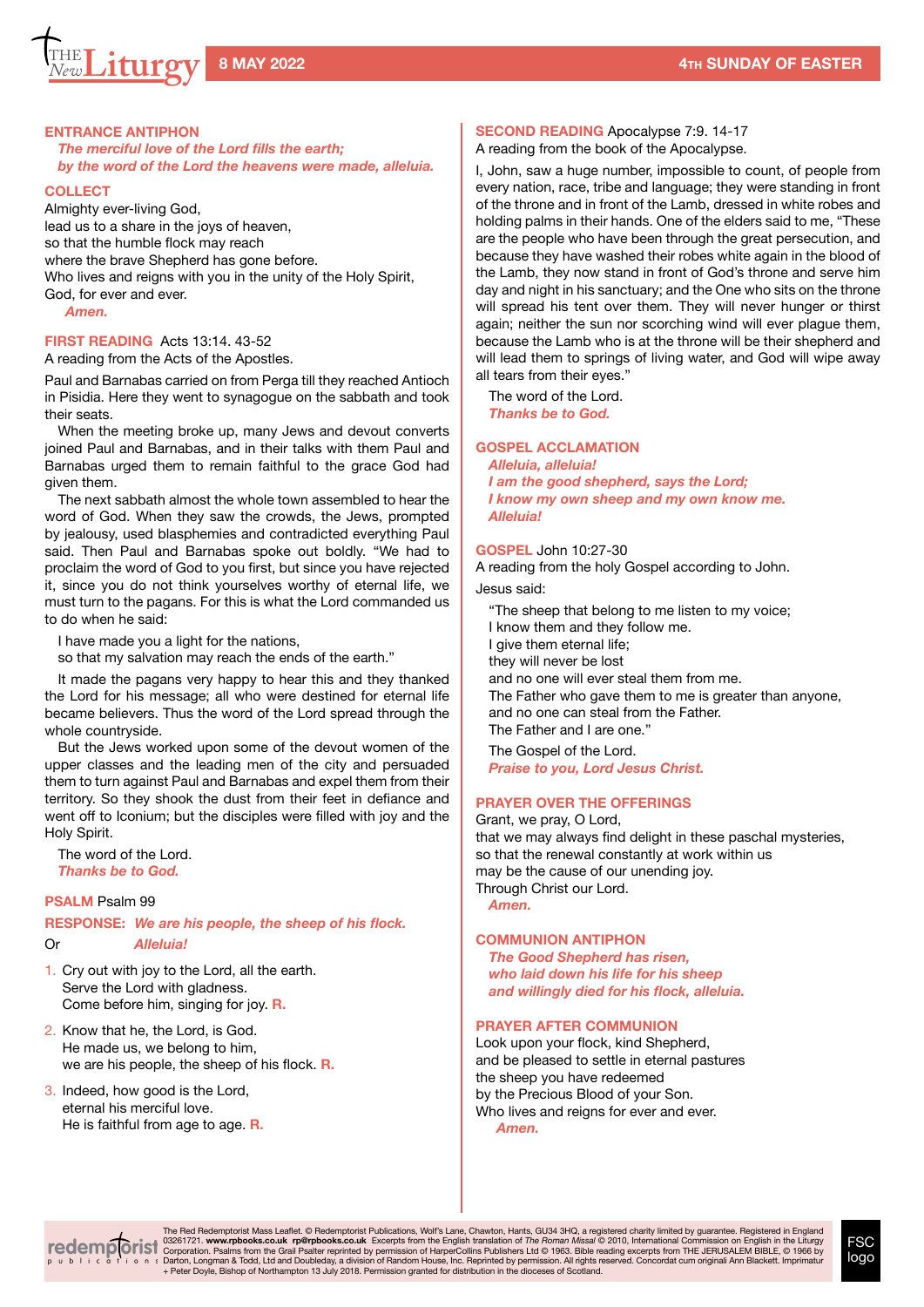

#### **ENTRANCE ANTIPHON**

*The merciful love of the Lord fills the earth; by the word of the Lord the heavens were made, alleluia.* 

#### **COLLECT**

Almighty ever-living God, lead us to a share in the joys of heaven, so that the humble flock may reach where the brave Shepherd has gone before. Who lives and reigns with you in the unity of the Holy Spirit, God, for ever and ever.  *Amen.*

#### **FIRST READING** Acts 13:14. 43-52

A reading from the Acts of the Apostles.

Paul and Barnabas carried on from Perga till they reached Antioch in Pisidia. Here they went to synagogue on the sabbath and took their seats.

When the meeting broke up, many Jews and devout converts joined Paul and Barnabas, and in their talks with them Paul and Barnabas urged them to remain faithful to the grace God had given them.

The next sabbath almost the whole town assembled to hear the word of God. When they saw the crowds, the Jews, prompted by jealousy, used blasphemies and contradicted everything Paul said. Then Paul and Barnabas spoke out boldly. "We had to proclaim the word of God to you first, but since you have rejected it, since you do not think yourselves worthy of eternal life, we must turn to the pagans. For this is what the Lord commanded us to do when he said:

I have made you a light for the nations,

so that my salvation may reach the ends of the earth."

It made the pagans very happy to hear this and they thanked the Lord for his message; all who were destined for eternal life became believers. Thus the word of the Lord spread through the whole countryside.

But the Jews worked upon some of the devout women of the upper classes and the leading men of the city and persuaded them to turn against Paul and Barnabas and expel them from their territory. So they shook the dust from their feet in defiance and went off to Iconium; but the disciples were filled with joy and the Holy Spirit.

The word of the Lord. *Thanks be to God.*

#### **PSALM** Psalm 99

**RESPONSE:** *We are his people, the sheep of his flock.* Or *Alleluia!*

- 1. Cry out with joy to the Lord, all the earth. Serve the Lord with gladness. Come before him, singing for joy. **R.**
- 2. Know that he, the Lord, is God. He made us, we belong to him, we are his people, the sheep of his flock. **R.**
- 3. Indeed, how good is the Lord, eternal his merciful love. He is faithful from age to age. **R.**

#### **SECOND READING** Apocalypse 7:9. 14-17 A reading from the book of the Apocalypse.

I, John, saw a huge number, impossible to count, of people from every nation, race, tribe and language; they were standing in front of the throne and in front of the Lamb, dressed in white robes and holding palms in their hands. One of the elders said to me, "These are the people who have been through the great persecution, and because they have washed their robes white again in the blood of the Lamb, they now stand in front of God's throne and serve him day and night in his sanctuary; and the One who sits on the throne will spread his tent over them. They will never hunger or thirst again; neither the sun nor scorching wind will ever plague them, because the Lamb who is at the throne will be their shepherd and will lead them to springs of living water, and God will wipe away all tears from their eyes."

The word of the Lord. *Thanks be to God.*

#### **GOSPEL ACCLAMATION**

*Alleluia, alleluia! I am the good shepherd, says the Lord; I know my own sheep and my own know me. Alleluia!* 

#### **GOSPEL** John 10:27-30

A reading from the holy Gospel according to John. Jesus said:

"The sheep that belong to me listen to my voice; I know them and they follow me. I give them eternal life; they will never be lost and no one will ever steal them from me. The Father who gave them to me is greater than anyone, and no one can steal from the Father. The Father and I are one."

The Gospel of the Lord. *Praise to you, Lord Jesus Christ.*

#### **PRAYER OVER THE OFFERINGS**

Grant, we pray, O Lord, that we may always find delight in these paschal mysteries, so that the renewal constantly at work within us may be the cause of our unending joy. Through Christ our Lord. *Amen.*

#### **COMMUNION ANTIPHON**

*The Good Shepherd has risen, who laid down his life for his sheep and willingly died for his flock, alleluia.*

#### **PRAYER AFTER COMMUNION**

Look upon your flock, kind Shepherd, and be pleased to settle in eternal pastures the sheep you have redeemed by the Precious Blood of your Son. Who lives and reigns for ever and ever.  *Amen.*



The Red Redemptorist Mass Leaflet. © Redemptorist Publications, Wolf's Lane, Chawton, Hants, GU34 3HQ, a registered charity limited by guarantee. Registered in England 03261721. www.rpbooks.co.uk rp@rpbooks.co.uk Excerpts from the English translation of *The Roman Missal* © 2010, International Commission on English in the Liturgy<br>Corporation. Psalms from the Grail Psalter reprinted by + Peter Doyle, Bishop of Northampton 13 July 2018. Permission granted for distribution in the dioceses of Scotland.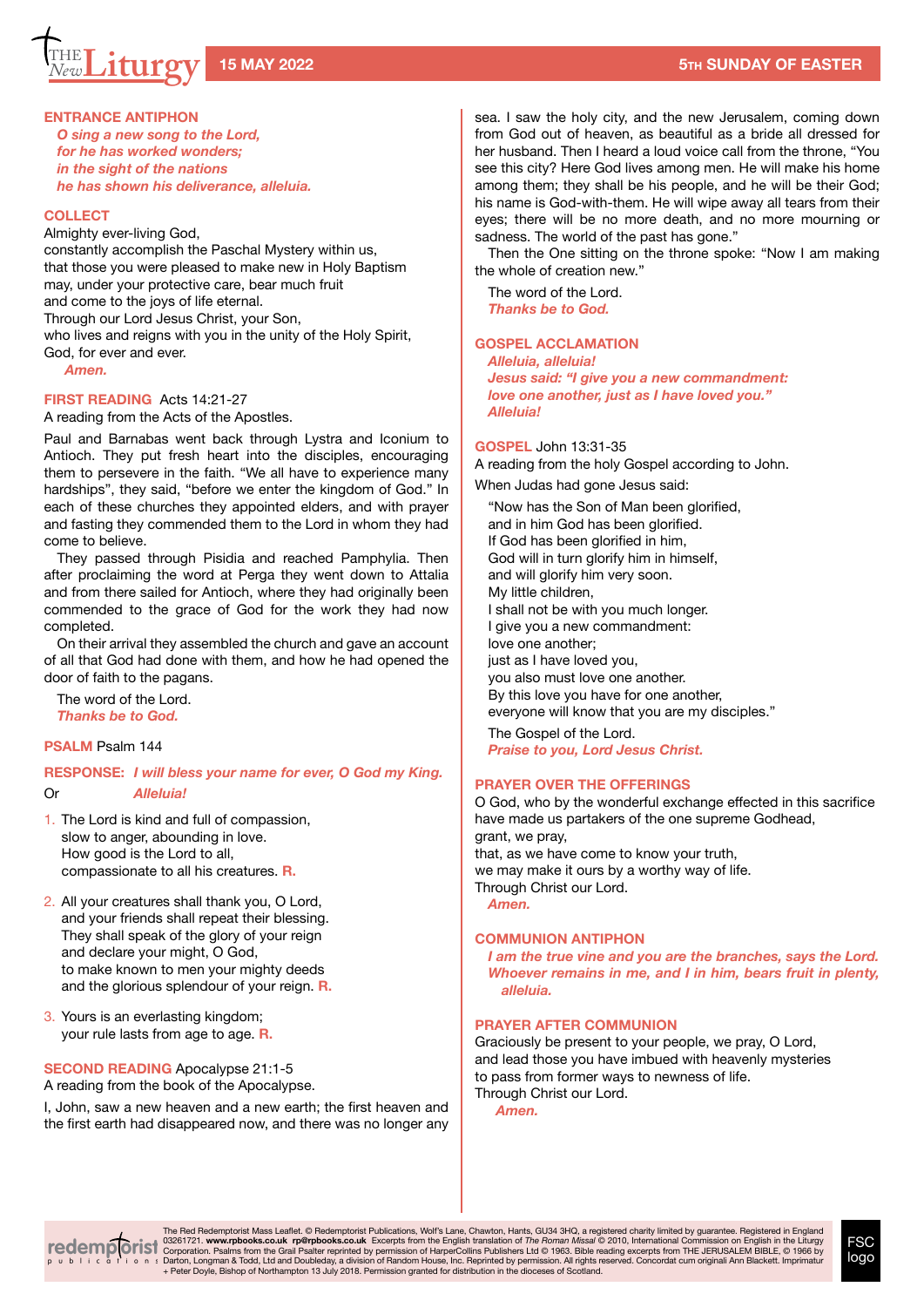## $\frac{L}{New}$  **Liturgy** 15 MAY 2022 5*th* SUNDAY OF EASTER *New*

#### **ENTRANCE ANTIPHON**

*O sing a new song to the Lord, for he has worked wonders; in the sight of the nations he has shown his deliverance, alleluia.* 

#### **COLLECT**

Almighty ever-living God, constantly accomplish the Paschal Mystery within us, that those you were pleased to make new in Holy Baptism may, under your protective care, bear much fruit and come to the joys of life eternal. Through our Lord Jesus Christ, your Son, who lives and reigns with you in the unity of the Holy Spirit, God, for ever and ever.

 *Amen.*

#### **FIRST READING** Acts 14:21-27

A reading from the Acts of the Apostles.

Paul and Barnabas went back through Lystra and Iconium to Antioch. They put fresh heart into the disciples, encouraging them to persevere in the faith. "We all have to experience many hardships", they said, "before we enter the kingdom of God." In each of these churches they appointed elders, and with prayer and fasting they commended them to the Lord in whom they had come to believe.

They passed through Pisidia and reached Pamphylia. Then after proclaiming the word at Perga they went down to Attalia and from there sailed for Antioch, where they had originally been commended to the grace of God for the work they had now completed.

On their arrival they assembled the church and gave an account of all that God had done with them, and how he had opened the door of faith to the pagans.

The word of the Lord. *Thanks be to God.*

#### **PSALM** Psalm 144

**RESPONSE:** *I will bless your name for ever, O God my King.* Or *Alleluia!*

- 1. The Lord is kind and full of compassion, slow to anger, abounding in love. How good is the Lord to all, compassionate to all his creatures. **R.**
- 2. All your creatures shall thank you, O Lord, and your friends shall repeat their blessing. They shall speak of the glory of your reign and declare your might, O God, to make known to men your mighty deeds and the glorious splendour of your reign. **R.**
- 3. Yours is an everlasting kingdom; your rule lasts from age to age. **R.**

**SECOND READING Apocalypse 21:1-5** A reading from the book of the Apocalypse.

I, John, saw a new heaven and a new earth; the first heaven and the first earth had disappeared now, and there was no longer any

sea. I saw the holy city, and the new Jerusalem, coming down from God out of heaven, as beautiful as a bride all dressed for her husband. Then I heard a loud voice call from the throne, "You see this city? Here God lives among men. He will make his home among them; they shall be his people, and he will be their God; his name is God-with-them. He will wipe away all tears from their eyes; there will be no more death, and no more mourning or sadness. The world of the past has gone."

Then the One sitting on the throne spoke: "Now I am making the whole of creation new."

The word of the Lord. *Thanks be to God.*

#### **GOSPEL ACCLAMATION**

*Alleluia, alleluia! Jesus said: "I give you a new commandment: love one another, just as I have loved you." Alleluia!*

#### **GOSPEL** John 13:31-35

A reading from the holy Gospel according to John.

When Judas had gone Jesus said:

"Now has the Son of Man been glorified, and in him God has been glorified. If God has been glorified in him, God will in turn glorify him in himself, and will glorify him very soon. My little children, I shall not be with you much longer. I give you a new commandment: love one another; just as I have loved you, you also must love one another. By this love you have for one another, everyone will know that you are my disciples." The Gospel of the Lord. *Praise to you, Lord Jesus Christ.*

#### **PRAYER OVER THE OFFERINGS**

O God, who by the wonderful exchange effected in this sacrifice have made us partakers of the one supreme Godhead, grant, we pray, that, as we have come to know your truth, we may make it ours by a worthy way of life. Through Christ our Lord. *Amen.*

#### **COMMUNION ANTIPHON**

*I am the true vine and you are the branches, says the Lord. Whoever remains in me, and I in him, bears fruit in plenty, alleluia.* 

#### **PRAYER AFTER COMMUNION**

Graciously be present to your people, we pray, O Lord, and lead those you have imbued with heavenly mysteries to pass from former ways to newness of life. Through Christ our Lord.

 *Amen.*



The Red Redemptorist Mass Leaflet. © Redemptorist Publications, Wolf's Lane, Chawton, Hants, GU34 3HQ, a registered charity limited by guarantee. Registered in England 03261721. www.rpbooks.co.uk rp@rpbooks.co.uk Excerpts from the English translation of *The Roman Missal* © 2010, International Commission on English in the Liturgy<br>Corporation. Psalms from the Grail Psalter reprinted by p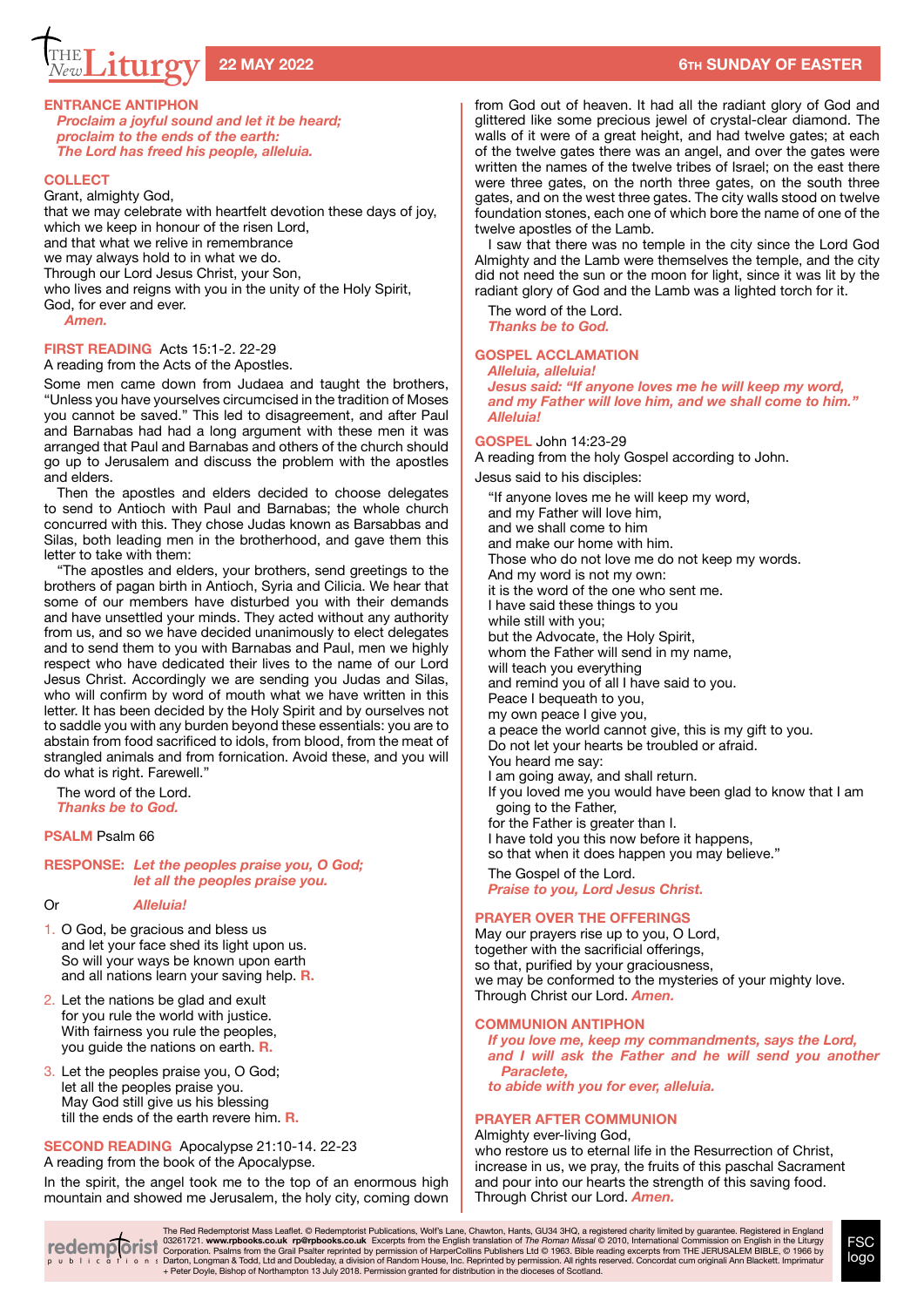## $\frac{L}{New}$  **Liturgy**  $22$  MAY 2022 **6th** SUNDAY OF EASTER *New*

#### **ENTRANCE ANTIPHON**

*Proclaim a joyful sound and let it be heard; proclaim to the ends of the earth: The Lord has freed his people, alleluia.* 

#### **COLLECT**

Grant, almighty God, that we may celebrate with heartfelt devotion these days of joy, which we keep in honour of the risen Lord. and that what we relive in remembrance we may always hold to in what we do. Through our Lord Jesus Christ, your Son, who lives and reigns with you in the unity of the Holy Spirit, God, for ever and ever.  *Amen.*

**FIRST READING** Acts 15:1-2. 22-29 A reading from the Acts of the Apostles.

Some men came down from Judaea and taught the brothers, "Unless you have yourselves circumcised in the tradition of Moses you cannot be saved." This led to disagreement, and after Paul and Barnabas had had a long argument with these men it was arranged that Paul and Barnabas and others of the church should go up to Jerusalem and discuss the problem with the apostles and elders.

Then the apostles and elders decided to choose delegates to send to Antioch with Paul and Barnabas; the whole church concurred with this. They chose Judas known as Barsabbas and Silas, both leading men in the brotherhood, and gave them this letter to take with them:

"The apostles and elders, your brothers, send greetings to the brothers of pagan birth in Antioch, Syria and Cilicia. We hear that some of our members have disturbed you with their demands and have unsettled your minds. They acted without any authority from us, and so we have decided unanimously to elect delegates and to send them to you with Barnabas and Paul, men we highly respect who have dedicated their lives to the name of our Lord Jesus Christ. Accordingly we are sending you Judas and Silas, who will confirm by word of mouth what we have written in this letter. It has been decided by the Holy Spirit and by ourselves not to saddle you with any burden beyond these essentials: you are to abstain from food sacrificed to idols, from blood, from the meat of strangled animals and from fornication. Avoid these, and you will do what is right. Farewell."

The word of the Lord. *Thanks be to God.*

**PSALM** Psalm 66

**RESPONSE:** *Let the peoples praise you, O God; let all the peoples praise you.*

#### Or *Alleluia!*

- 1. O God, be gracious and bless us and let your face shed its light upon us. So will your ways be known upon earth and all nations learn your saving help. **R.**
- 2. Let the nations be glad and exult for you rule the world with justice. With fairness you rule the peoples, you guide the nations on earth. **R.**
- 3. Let the peoples praise you, O God; let all the peoples praise you. May God still give us his blessing till the ends of the earth revere him. **R.**

**SECOND READING** Apocalypse 21:10-14. 22-23 A reading from the book of the Apocalypse.

In the spirit, the angel took me to the top of an enormous high mountain and showed me Jerusalem, the holy city, coming down

from God out of heaven. It had all the radiant glory of God and glittered like some precious jewel of crystal-clear diamond. The walls of it were of a great height, and had twelve gates; at each of the twelve gates there was an angel, and over the gates were written the names of the twelve tribes of Israel; on the east there were three gates, on the north three gates, on the south three gates, and on the west three gates. The city walls stood on twelve foundation stones, each one of which bore the name of one of the twelve apostles of the Lamb.

I saw that there was no temple in the city since the Lord God Almighty and the Lamb were themselves the temple, and the city did not need the sun or the moon for light, since it was lit by the radiant glory of God and the Lamb was a lighted torch for it.

The word of the Lord. *Thanks be to God.*

#### **GOSPEL ACCLAMATION**

*Alleluia, alleluia! Jesus said: "If anyone loves me he will keep my word, and my Father will love him, and we shall come to him." Alleluia!* 

#### **GOSPEL** John 14:23-29

A reading from the holy Gospel according to John.

Jesus said to his disciples:

"If anyone loves me he will keep my word, and my Father will love him, and we shall come to him and make our home with him. Those who do not love me do not keep my words. And my word is not my own: it is the word of the one who sent me. I have said these things to you while still with you; but the Advocate, the Holy Spirit, whom the Father will send in my name, will teach you everything and remind you of all I have said to you. Peace I bequeath to you, my own peace I give you, a peace the world cannot give, this is my gift to you. Do not let your hearts be troubled or afraid. You heard me say: I am going away, and shall return. If you loved me you would have been glad to know that I am going to the Father, for the Father is greater than I. I have told you this now before it happens, so that when it does happen you may believe." The Gospel of the Lord. *Praise to you, Lord Jesus Christ.* **PRAYER OVER THE OFFERINGS**

May our prayers rise up to you, O Lord, together with the sacrificial offerings, so that, purified by your graciousness, we may be conformed to the mysteries of your mighty love. Through Christ our Lord. *Amen.*

#### **COMMUNION ANTIPHON**

*If you love me, keep my commandments, says the Lord, and I will ask the Father and he will send you another Paraclete, to abide with you for ever, alleluia.* 

## **PRAYER AFTER COMMUNION**

#### Almighty ever-living God,

who restore us to eternal life in the Resurrection of Christ, increase in us, we pray, the fruits of this paschal Sacrament and pour into our hearts the strength of this saving food. Through Christ our Lord. *Amen.*

**redemp orist** publications The Red Redemptorist Mass Leafiet. © Redemptorist Publications, Wolf's Lane, Chavton, Hants, GU34 3HQ, a registered charity limited by guarantee. Registered in England<br>03261721. www.rpbooks.co.uk rp@rpbooks.co.uk Excerpts